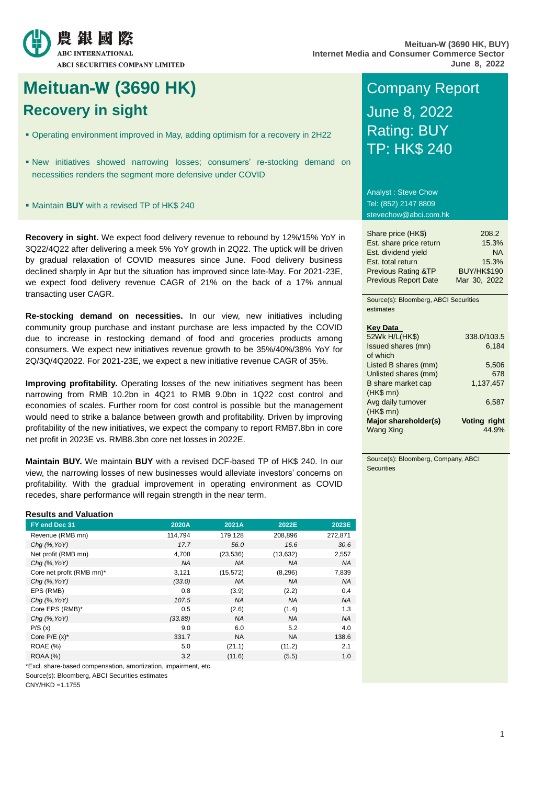

# **Meituan-W (3690 HK) Company Report Recovery in sight COVER 1999 June 8, 2022**

- Operating environment improved in May, adding optimism for a recovery in 2H22
- New initiatives showed narrowing losses; consumers' re-stocking demand on necessities renders the segment more defensive under COVID
- Maintain **BUY** with a revised TP of HK\$ 240

**Recovery in sight.** We expect food delivery revenue to rebound by 12%/15% YoY in 3Q22/4Q22 after delivering a meek 5% YoY growth in 2Q22. The uptick will be driven by gradual relaxation of COVID measures since June. Food delivery business declined sharply in Apr but the situation has improved since late-May. For 2021-23E, we expect food delivery revenue CAGR of 21% on the back of a 17% annual transacting user CAGR.

**Re-stocking demand on necessities.** In our view, new initiatives including community group purchase and instant purchase are less impacted by the COVID due to increase in restocking demand of food and groceries products among consumers. We expect new initiatives revenue growth to be 35%/40%/38% YoY for 2Q/3Q/4Q2022. For 2021-23E, we expect a new initiative revenue CAGR of 35%.

**Improving profitability.** Operating losses of the new initiatives segment has been narrowing from RMB 10.2bn in 4Q21 to RMB 9.0bn in 1Q22 cost control and economies of scales. Further room for cost control is possible but the management would need to strike a balance between growth and profitability. Driven by improving profitability of the new initiatives, we expect the company to report RMB7.8bn in core net profit in 2023E vs. RMB8.3bn core net losses in 2022E.

**Maintain BUY.** We maintain **BUY** with a revised DCF-based TP of HK\$ 240. In our view, the narrowing losses of new businesses would alleviate investors' concerns on profitability. With the gradual improvement in operating environment as COVID recedes, share performance will regain strength in the near term.

#### **Results and Valuation**

| FY end Dec 31             | 2020A     | 2021A     | 2022E     | 2023E     |
|---------------------------|-----------|-----------|-----------|-----------|
| Revenue (RMB mn)          | 114,794   | 179,128   | 208,896   | 272,871   |
| Cha $(%$ , YoY)           | 17.7      | 56.0      | 16.6      | 30.6      |
| Net profit (RMB mn)       | 4,708     | (23, 536) | (13, 632) | 2,557     |
| Chg $(%$ , YoY)           | <b>NA</b> | <b>NA</b> | <b>NA</b> | <b>NA</b> |
| Core net profit (RMB mn)* | 3,121     | (15, 572) | (8, 296)  | 7,839     |
| Chg $(%$ , YoY)           | (33.0)    | <b>NA</b> | <b>NA</b> | <b>NA</b> |
| EPS (RMB)                 | 0.8       | (3.9)     | (2.2)     | 0.4       |
| Cha $(%$ , YoY)           | 107.5     | <b>NA</b> | <b>NA</b> | <b>NA</b> |
| Core EPS (RMB)*           | 0.5       | (2.6)     | (1.4)     | 1.3       |
| Chg $(%$ , YoY)           | (33.88)   | <b>NA</b> | <b>NA</b> | <b>NA</b> |
| P/S(x)                    | 9.0       | 6.0       | 5.2       | 4.0       |
| Core $P/E(x)^*$           | 331.7     | <b>NA</b> | <b>NA</b> | 138.6     |
| <b>ROAE</b> (%)           | 5.0       | (21.1)    | (11.2)    | 2.1       |
| ROAA (%)                  | 3.2       | (11.6)    | (5.5)     | 1.0       |

\*Excl. share-based compensation, amortization, impairment, etc.

Source(s): Bloomberg, ABCI Securities estimates

 $CNY/HKD = 1.1755$ 

# Rating: BUY TP: HK\$ 240

Analyst : Steve Chow Tel: (852) 2147 8809 stevechow@abci.com.hk

| Share price (HK\$)             | 208.2              |
|--------------------------------|--------------------|
| Est. share price return        | 15.3%              |
| Est. dividend yield            | <b>NA</b>          |
| Est. total return              | 15.3%              |
| <b>Previous Rating &amp;TP</b> | <b>BUY/HK\$190</b> |
| <b>Previous Report Date</b>    | Mar 30, 2022       |

Source(s): Bloomberg, ABCI Securities estimates

| <b>Key Data</b>      |              |
|----------------------|--------------|
| 52Wk H/L(HK\$)       | 338.0/103.5  |
| Issued shares (mn)   | 6.184        |
| of which             |              |
| Listed B shares (mm) | 5,506        |
| Unlisted shares (mm) | 678          |
| B share market cap   | 1.137.457    |
| $(HK$$ mn)           |              |
| Avg daily turnover   | 6,587        |
| $(HKS$ mn $)$        |              |
| Major shareholder(s) | Voting right |
| <b>Wang Xing</b>     | 44.9%        |
|                      |              |

Source(s): Bloomberg, Company, ABCI **Securities**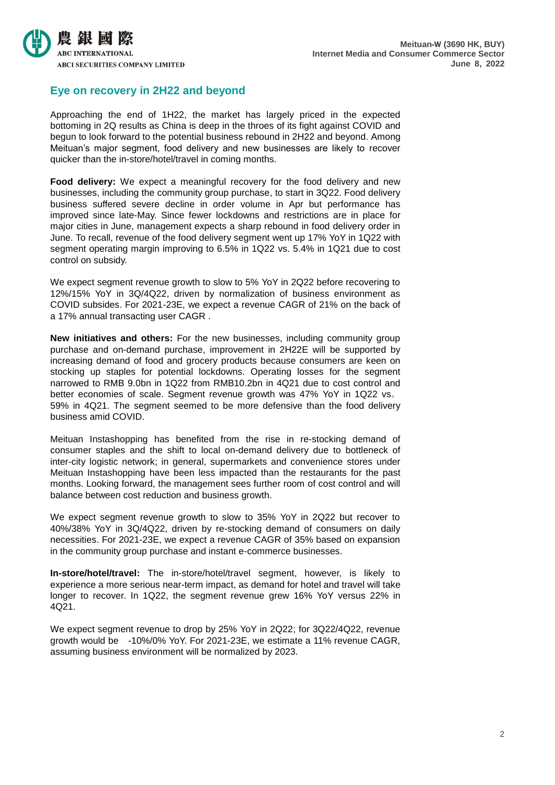

### **Eye on recovery in 2H22 and beyond**

Approaching the end of 1H22, the market has largely priced in the expected bottoming in 2Q results as China is deep in the throes of its fight against COVID and begun to look forward to the potential business rebound in 2H22 and beyond. Among Meituan's major segment, food delivery and new businesses are likely to recover quicker than the in-store/hotel/travel in coming months.

**Food delivery:** We expect a meaningful recovery for the food delivery and new businesses, including the community group purchase, to start in 3Q22. Food delivery business suffered severe decline in order volume in Apr but performance has improved since late-May. Since fewer lockdowns and restrictions are in place for major cities in June, management expects a sharp rebound in food delivery order in June. To recall, revenue of the food delivery segment went up 17% YoY in 1Q22 with segment operating margin improving to 6.5% in 1Q22 vs. 5.4% in 1Q21 due to cost control on subsidy.

We expect segment revenue growth to slow to 5% YoY in 2Q22 before recovering to 12%/15% YoY in 3Q/4Q22, driven by normalization of business environment as COVID subsides. For 2021-23E, we expect a revenue CAGR of 21% on the back of a 17% annual transacting user CAGR .

**New initiatives and others:** For the new businesses, including community group purchase and on-demand purchase, improvement in 2H22E will be supported by increasing demand of food and grocery products because consumers are keen on stocking up staples for potential lockdowns. Operating losses for the segment narrowed to RMB 9.0bn in 1Q22 from RMB10.2bn in 4Q21 due to cost control and better economies of scale. Segment revenue growth was 47% YoY in 1Q22 vs。 59% in 4Q21. The segment seemed to be more defensive than the food delivery business amid COVID.

Meituan Instashopping has benefited from the rise in re-stocking demand of consumer staples and the shift to local on-demand delivery due to bottleneck of inter-city logistic network; in general, supermarkets and convenience stores under Meituan Instashopping have been less impacted than the restaurants for the past months. Looking forward, the management sees further room of cost control and will balance between cost reduction and business growth.

We expect segment revenue growth to slow to 35% YoY in 2Q22 but recover to 40%/38% YoY in 3Q/4Q22, driven by re-stocking demand of consumers on daily necessities. For 2021-23E, we expect a revenue CAGR of 35% based on expansion in the community group purchase and instant e-commerce businesses.

**In-store/hotel/travel:** The in-store/hotel/travel segment, however, is likely to experience a more serious near-term impact, as demand for hotel and travel will take longer to recover. In 1Q22, the segment revenue grew 16% YoY versus 22% in 4Q21.

We expect segment revenue to drop by 25% YoY in 2Q22; for 3Q22/4Q22, revenue growth would be -10%/0% YoY. For 2021-23E, we estimate a 11% revenue CAGR, assuming business environment will be normalized by 2023.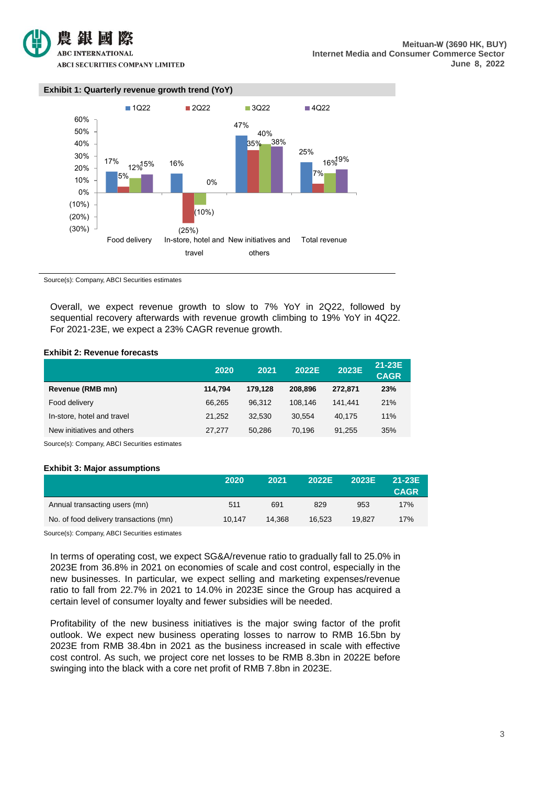

#### **Exhibit 1: Quarterly revenue growth trend (YoY)**  $\frac{17\%}{12\%}$  12% 16% 47% 25% 5% (25%) 35% 7%  $(10%)$ 40% 15% 16% 0% 38% 16%<sup>19%</sup> (30%) (20%) (10%) 0% 10% 20% 30% 40% 50% 60% Food delivery In-store, hotel and New initiatives and travel others Total revenue 1Q22 2Q22 3Q22 4Q22

Source(s): Company, ABCI Securities estimates

Overall, we expect revenue growth to slow to 7% YoY in 2Q22, followed by sequential recovery afterwards with revenue growth climbing to 19% YoY in 4Q22. For 2021-23E, we expect a 23% CAGR revenue growth.

#### **Exhibit 2: Revenue forecasts**

|                            | 2020    | 2021    | 2022E   | 2023E   | 21-23E<br><b>CAGR</b> |
|----------------------------|---------|---------|---------|---------|-----------------------|
| Revenue (RMB mn)           | 114.794 | 179.128 | 208,896 | 272.871 | 23%                   |
| Food delivery              | 66.265  | 96.312  | 108.146 | 141.441 | 21%                   |
| In-store, hotel and travel | 21.252  | 32.530  | 30.554  | 40.175  | 11%                   |
| New initiatives and others | 27.277  | 50.286  | 70.196  | 91.255  | 35%                   |

Source(s): Company, ABCI Securities estimates

#### **Exhibit 3: Major assumptions**

|        | <b>CAGR</b> |
|--------|-------------|
| 953    | 17%         |
| 19.827 | 17%         |
|        |             |

Source(s): Company, ABCI Securities estimates

In terms of operating cost, we expect SG&A/revenue ratio to gradually fall to 25.0% in 2023E from 36.8% in 2021 on economies of scale and cost control, especially in the new businesses. In particular, we expect selling and marketing expenses/revenue ratio to fall from 22.7% in 2021 to 14.0% in 2023E since the Group has acquired a certain level of consumer loyalty and fewer subsidies will be needed.

Profitability of the new business initiatives is the major swing factor of the profit outlook. We expect new business operating losses to narrow to RMB 16.5bn by 2023E from RMB 38.4bn in 2021 as the business increased in scale with effective cost control. As such, we project core net losses to be RMB 8.3bn in 2022E before swinging into the black with a core net profit of RMB 7.8bn in 2023E.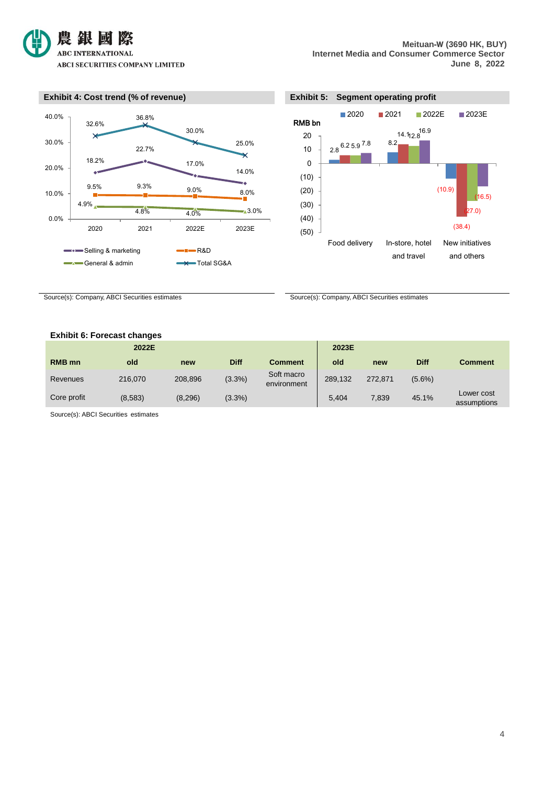





Source(s): Company, ABCI Securities estimates Source(s): Company, ABCI Securities estimates

#### **Exhibit 6: Forecast changes**

|               | 2022E   |         |             |                           | 2023E   |         |             |                           |
|---------------|---------|---------|-------------|---------------------------|---------|---------|-------------|---------------------------|
| <b>RMB</b> mn | old     | new     | <b>Diff</b> | <b>Comment</b>            | old     | new     | <b>Diff</b> | <b>Comment</b>            |
| Revenues      | 216,070 | 208,896 | (3.3%)      | Soft macro<br>environment | 289.132 | 272,871 | $(5.6\%)$   |                           |
| Core profit   | (8,583) | (8,296) | $(3.3\%)$   |                           | 5,404   | 7,839   | 45.1%       | Lower cost<br>assumptions |

Source(s): ABCI Securities estimates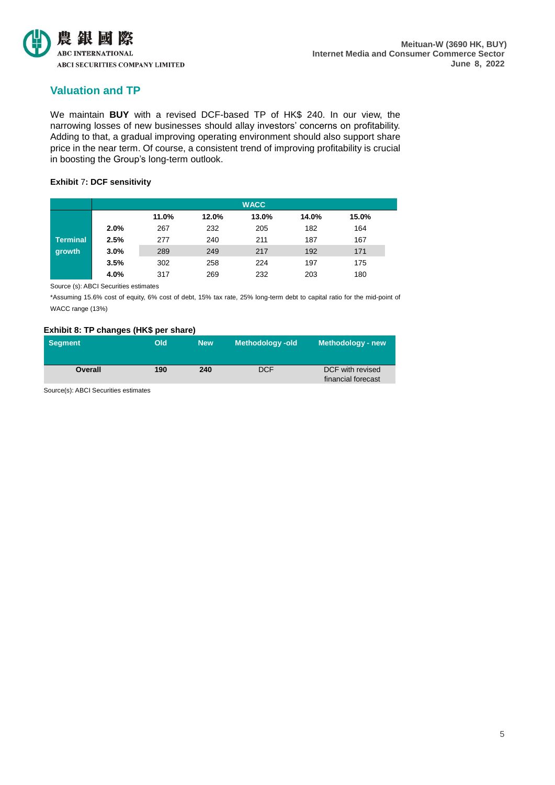

## **Valuation and TP**

We maintain **BUY** with a revised DCF-based TP of HK\$ 240. In our view, the narrowing losses of new businesses should allay investors' concerns on profitability. Adding to that, a gradual improving operating environment should also support share price in the near term. Of course, a consistent trend of improving profitability is crucial in boosting the Group's long-term outlook.

#### **Exhibit** 7**: DCF sensitivity**

|                 |      |       |       | <b>WACC</b> |       |       |
|-----------------|------|-------|-------|-------------|-------|-------|
|                 |      | 11.0% | 12.0% | 13.0%       | 14.0% | 15.0% |
|                 | 2.0% | 267   | 232   | 205         | 182   | 164   |
| <b>Terminal</b> | 2.5% | 277   | 240   | 211         | 187   | 167   |
| growth          | 3.0% | 289   | 249   | 217         | 192   | 171   |
|                 | 3.5% | 302   | 258   | 224         | 197   | 175   |
|                 | 4.0% | 317   | 269   | 232         | 203   | 180   |

Source (s): ABCI Securities estimates

\*Assuming 15.6% cost of equity, 6% cost of debt, 15% tax rate, 25% long-term debt to capital ratio for the mid-point of WACC range (13%)

#### **Exhibit 8: TP changes (HK\$ per share)**

| <b>Segment</b> | Old | <b>New</b> | <b>Methodology-old</b> | Methodology - new                      |
|----------------|-----|------------|------------------------|----------------------------------------|
| Overall        | 190 | 240        | <b>DCF</b>             | DCF with revised<br>financial forecast |

Source(s): ABCI Securities estimates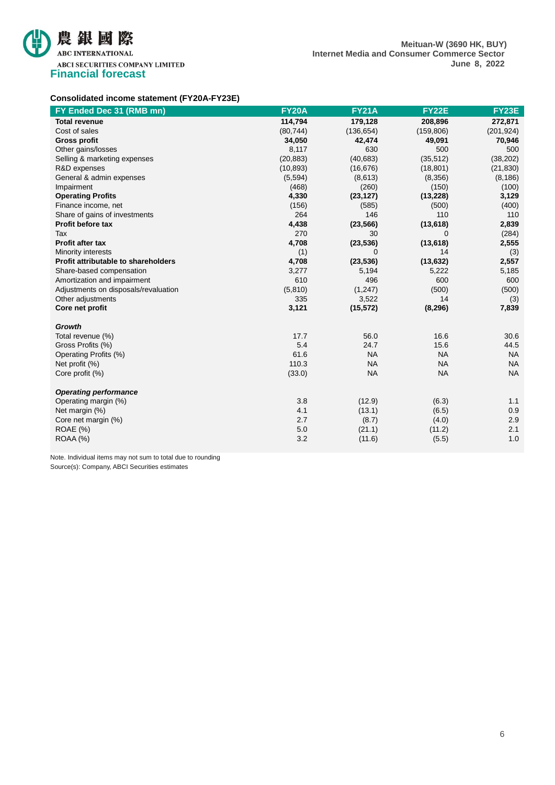

#### **Consolidated income statement (FY20A-FY23E)**

| FY Ended Dec 31 (RMB mn)             | <b>FY20A</b> | <b>FY21A</b> | <b>FY22E</b> | <b>FY23E</b> |
|--------------------------------------|--------------|--------------|--------------|--------------|
| <b>Total revenue</b>                 | 114,794      | 179,128      | 208,896      | 272,871      |
| Cost of sales                        | (80, 744)    | (136, 654)   | (159, 806)   | (201, 924)   |
| <b>Gross profit</b>                  | 34,050       | 42,474       | 49,091       | 70,946       |
| Other gains/losses                   | 8,117        | 630          | 500          | 500          |
| Selling & marketing expenses         | (20, 883)    | (40, 683)    | (35, 512)    | (38, 202)    |
| R&D expenses                         | (10, 893)    | (16, 676)    | (18, 801)    | (21, 830)    |
| General & admin expenses             | (5,594)      | (8,613)      | (8,356)      | (8, 186)     |
| Impairment                           | (468)        | (260)        | (150)        | (100)        |
| <b>Operating Profits</b>             | 4,330        | (23, 127)    | (13, 228)    | 3,129        |
| Finance income, net                  | (156)        | (585)        | (500)        | (400)        |
| Share of gains of investments        | 264          | 146          | 110          | 110          |
| <b>Profit before tax</b>             | 4,438        | (23, 566)    | (13,618)     | 2,839        |
| Tax                                  | 270          | 30           | $\Omega$     | (284)        |
| Profit after tax                     | 4,708        | (23, 536)    | (13,618)     | 2,555        |
| Minority interests                   | (1)          | 0            | 14           | (3)          |
| Profit attributable to shareholders  | 4,708        | (23, 536)    | (13, 632)    | 2,557        |
| Share-based compensation             | 3,277        | 5,194        | 5,222        | 5,185        |
| Amortization and impairment          | 610          | 496          | 600          | 600          |
| Adjustments on disposals/revaluation | (5,810)      | (1,247)      | (500)        | (500)        |
| Other adjustments                    | 335          | 3,522        | 14           | (3)          |
| Core net profit                      | 3,121        | (15, 572)    | (8, 296)     | 7,839        |
| Growth                               |              |              |              |              |
| Total revenue (%)                    | 17.7         | 56.0         | 16.6         | 30.6         |
| Gross Profits (%)                    | 5.4          | 24.7         | 15.6         | 44.5         |
| Operating Profits (%)                | 61.6         | <b>NA</b>    | <b>NA</b>    | <b>NA</b>    |
| Net profit (%)                       | 110.3        | <b>NA</b>    | <b>NA</b>    | <b>NA</b>    |
| Core profit (%)                      | (33.0)       | <b>NA</b>    | <b>NA</b>    | <b>NA</b>    |
| <b>Operating performance</b>         |              |              |              |              |
| Operating margin (%)                 | 3.8          | (12.9)       | (6.3)        | 1.1          |
| Net margin (%)                       | 4.1          | (13.1)       | (6.5)        | 0.9          |
| Core net margin (%)                  | 2.7          | (8.7)        | (4.0)        | 2.9          |
| <b>ROAE</b> (%)                      | 5.0          | (21.1)       | (11.2)       | 2.1          |
| ROAA (%)                             | 3.2          | (11.6)       | (5.5)        | 1.0          |

Note. Individual items may not sum to total due to rounding Source(s): Company, ABCI Securities estimates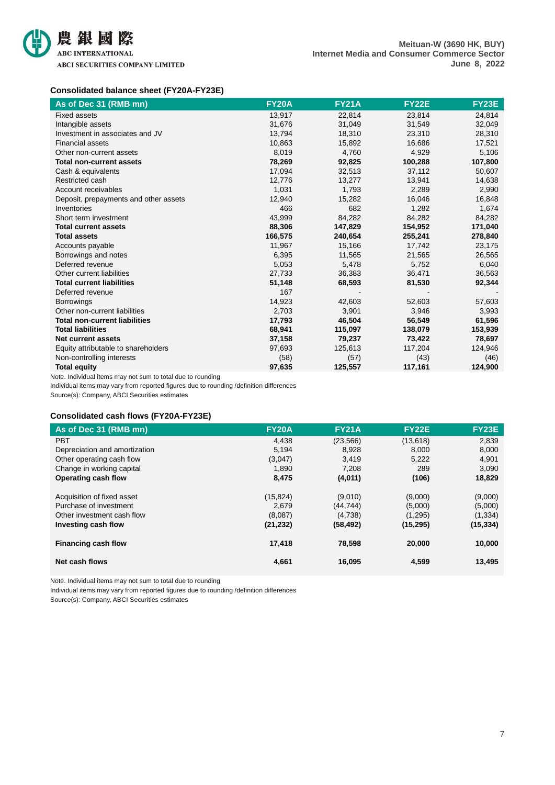

#### **Consolidated balance sheet (FY20A-FY23E)**

| As of Dec 31 (RMB mn)                 | <b>FY20A</b> | <b>FY21A</b> | <b>FY22E</b> | FY23E   |
|---------------------------------------|--------------|--------------|--------------|---------|
| <b>Fixed assets</b>                   | 13,917       | 22,814       | 23,814       | 24,814  |
| Intangible assets                     | 31,676       | 31,049       | 31,549       | 32,049  |
| Investment in associates and JV       | 13,794       | 18,310       | 23,310       | 28,310  |
| <b>Financial assets</b>               | 10,863       | 15,892       | 16,686       | 17,521  |
| Other non-current assets              | 8,019        | 4,760        | 4,929        | 5,106   |
| <b>Total non-current assets</b>       | 78,269       | 92,825       | 100,288      | 107,800 |
| Cash & equivalents                    | 17,094       | 32,513       | 37,112       | 50,607  |
| Restricted cash                       | 12,776       | 13,277       | 13,941       | 14,638  |
| Account receivables                   | 1,031        | 1,793        | 2,289        | 2,990   |
| Deposit, prepayments and other assets | 12,940       | 15,282       | 16,046       | 16,848  |
| Inventories                           | 466          | 682          | 1,282        | 1,674   |
| Short term investment                 | 43,999       | 84,282       | 84,282       | 84,282  |
| <b>Total current assets</b>           | 88,306       | 147,829      | 154,952      | 171,040 |
| <b>Total assets</b>                   | 166,575      | 240,654      | 255,241      | 278,840 |
| Accounts payable                      | 11,967       | 15,166       | 17,742       | 23,175  |
| Borrowings and notes                  | 6,395        | 11,565       | 21,565       | 26,565  |
| Deferred revenue                      | 5,053        | 5,478        | 5,752        | 6,040   |
| Other current liabilities             | 27,733       | 36,383       | 36,471       | 36,563  |
| <b>Total current liabilities</b>      | 51,148       | 68,593       | 81,530       | 92,344  |
| Deferred revenue                      | 167          |              |              |         |
| <b>Borrowings</b>                     | 14,923       | 42,603       | 52,603       | 57,603  |
| Other non-current liabilities         | 2,703        | 3,901        | 3,946        | 3,993   |
| <b>Total non-current liabilities</b>  | 17,793       | 46,504       | 56,549       | 61,596  |
| <b>Total liabilities</b>              | 68,941       | 115,097      | 138,079      | 153,939 |
| <b>Net current assets</b>             | 37,158       | 79,237       | 73,422       | 78,697  |
| Equity attributable to shareholders   | 97,693       | 125,613      | 117,204      | 124,946 |
| Non-controlling interests             | (58)         | (57)         | (43)         | (46)    |
| <b>Total equity</b>                   | 97,635       | 125,557      | 117,161      | 124,900 |

Note. Individual items may not sum to total due to rounding

Individual items may vary from reported figures due to rounding /definition differences

Source(s): Company, ABCI Securities estimates

#### **Consolidated cash flows (FY20A-FY23E)**

| As of Dec 31 (RMB mn)         | <b>FY20A</b> | <b>FY21A</b> | <b>FY22E</b> | <b>FY23E</b> |
|-------------------------------|--------------|--------------|--------------|--------------|
| <b>PBT</b>                    | 4,438        | (23, 566)    | (13, 618)    | 2,839        |
| Depreciation and amortization | 5,194        | 8,928        | 8,000        | 8,000        |
| Other operating cash flow     | (3,047)      | 3,419        | 5,222        | 4,901        |
| Change in working capital     | 1,890        | 7,208        | 289          | 3,090        |
| Operating cash flow           | 8,475        | (4,011)      | (106)        | 18,829       |
| Acquisition of fixed asset    | (15, 824)    | (9,010)      | (9,000)      | (9,000)      |
| Purchase of investment        | 2.679        | (44, 744)    | (5,000)      | (5,000)      |
| Other investment cash flow    | (8,087)      | (4,738)      | (1,295)      | (1, 334)     |
| Investing cash flow           | (21, 232)    | (58, 492)    | (15, 295)    | (15, 334)    |
| <b>Financing cash flow</b>    | 17,418       | 78,598       | 20,000       | 10,000       |
| Net cash flows                | 4,661        | 16,095       | 4,599        | 13,495       |

Note. Individual items may not sum to total due to rounding

Individual items may vary from reported figures due to rounding /definition differences

Source(s): Company, ABCI Securities estimates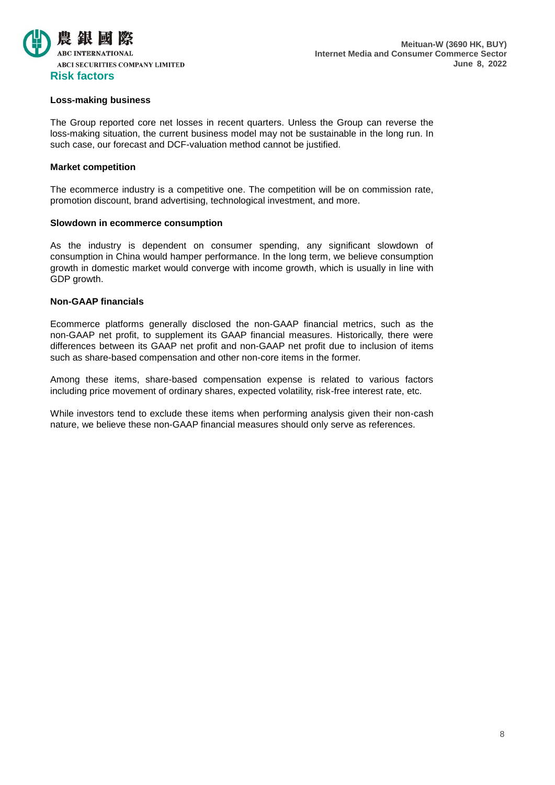

#### **Loss-making business**

The Group reported core net losses in recent quarters. Unless the Group can reverse the loss-making situation, the current business model may not be sustainable in the long run. In such case, our forecast and DCF-valuation method cannot be justified.

#### **Market competition**

The ecommerce industry is a competitive one. The competition will be on commission rate, promotion discount, brand advertising, technological investment, and more.

#### **Slowdown in ecommerce consumption**

As the industry is dependent on consumer spending, any significant slowdown of consumption in China would hamper performance. In the long term, we believe consumption growth in domestic market would converge with income growth, which is usually in line with GDP growth.

#### **Non-GAAP financials**

Ecommerce platforms generally disclosed the non-GAAP financial metrics, such as the non-GAAP net profit, to supplement its GAAP financial measures. Historically, there were differences between its GAAP net profit and non-GAAP net profit due to inclusion of items such as share-based compensation and other non-core items in the former.

Among these items, share-based compensation expense is related to various factors including price movement of ordinary shares, expected volatility, risk-free interest rate, etc.

While investors tend to exclude these items when performing analysis given their non-cash nature, we believe these non-GAAP financial measures should only serve as references.